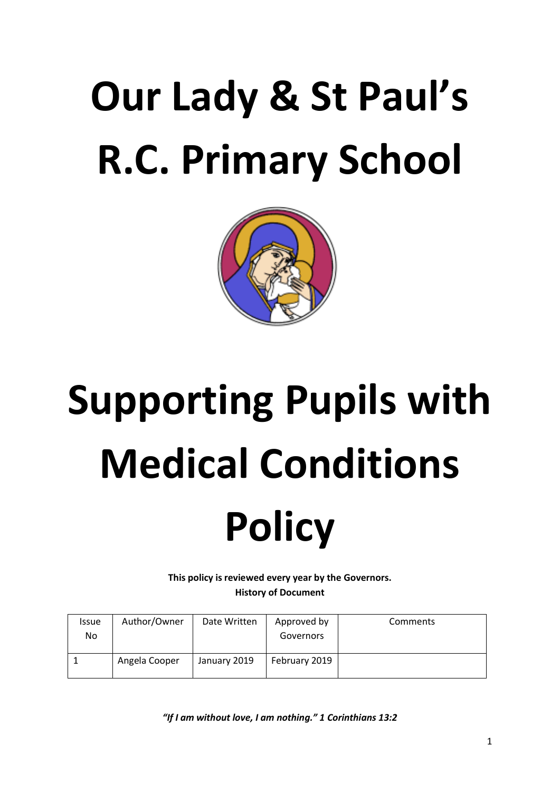## **Our Lady & St Paul's R.C. Primary School**



# **Supporting Pupils with Medical Conditions**

### **Policy**

**This policy is reviewed every year by the Governors. History of Document**

| <b>Issue</b><br>No | Author/Owner  | Date Written | Approved by<br>Governors | Comments |
|--------------------|---------------|--------------|--------------------------|----------|
|                    | Angela Cooper | January 2019 | February 2019            |          |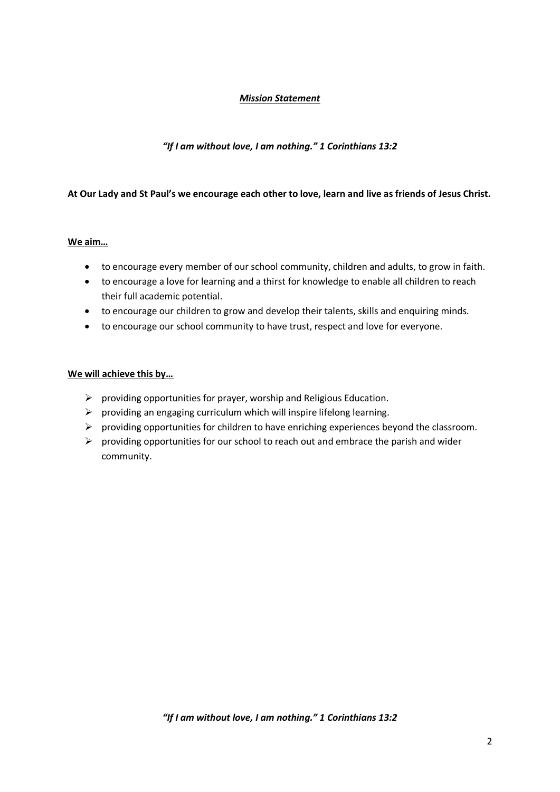#### *Mission Statement*

#### *"If I am without love, I am nothing." 1 Corinthians 13:2*

#### **At Our Lady and St Paul's we encourage each other to love, learn and live as friends of Jesus Christ.**

#### **We aim…**

- to encourage every member of our school community, children and adults, to grow in faith.
- to encourage a love for learning and a thirst for knowledge to enable all children to reach their full academic potential.
- to encourage our children to grow and develop their talents, skills and enquiring minds.
- to encourage our school community to have trust, respect and love for everyone.

#### **We will achieve this by…**

- $\triangleright$  providing opportunities for prayer, worship and Religious Education.
- $\triangleright$  providing an engaging curriculum which will inspire lifelong learning.
- $\triangleright$  providing opportunities for children to have enriching experiences beyond the classroom.
- $\triangleright$  providing opportunities for our school to reach out and embrace the parish and wider community.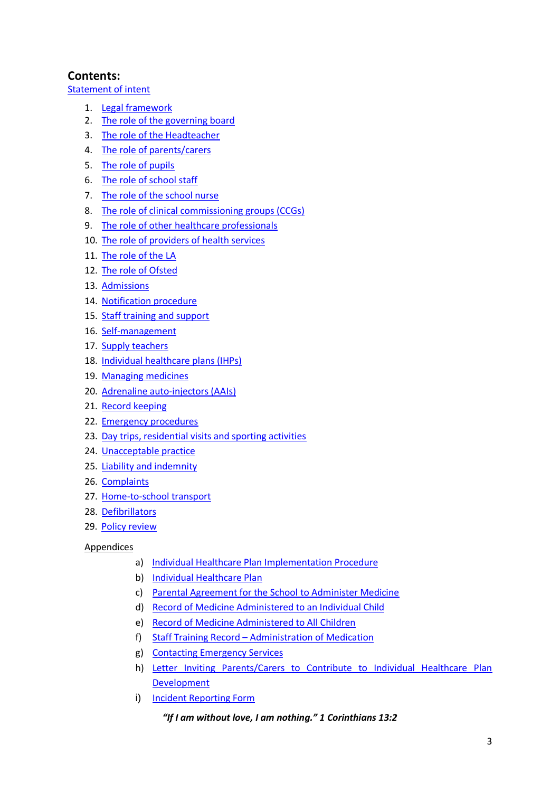#### **Contents:**

[Statement of intent](#page-3-0)

- 1. [Legal framework](#page-3-1)
- 2. [The role of the governing board](#page-4-0)
- 3. [The role of the Headteacher](#page-5-0)
- 4. [The role of parents/carers](#page-5-1)
- 5. [The role of pupils](#page-6-0)
- 6. [The role of school staff](#page-6-1)
- 7. [The role of the school nurse](#page-6-2)
- 8. [The role of clinical commissioning groups \(CCGs\)](#page-6-3)
- 9. [The role of other healthcare professionals](#page-7-0)
- 10. [The role of providers of health services](#page-7-1)
- 11. [The role of the LA](#page-7-2)
- 12. [The role of Ofsted](#page-7-3)
- 13. [Admissions](#page-7-4)
- 14. [Notification procedure](#page-8-0)
- 15. [Staff training and support](#page-8-1)
- 16. [Self-management](#page-9-0)
- 17. [Supply teachers](#page-9-1)
- 18. [Individual healthcare](#page-9-2) plans (IHPs)
- 19. [Managing medicines](#page-10-0)
- 20. [Adrenaline auto-injectors \(AAIs\)](#page-11-0)
- 21. [Record keeping](#page-13-0)
- 22. [Emergency procedures](#page-13-1)
- 23. [Day trips, residential visits and sporting activities](#page-13-2)
- 24. [Unacceptable practice](#page-14-0)
- 25. [Liability and indemnity](#page-14-1)
- 26. [Complaints](#page-15-0)
- 27. [Home-to-school transport](#page-15-1)
- 28. [Defibrillators](#page-15-2)
- 29. [Policy review](#page-15-2)

#### Appendices

- a) [Individual Healthcare Plan Implementation](#page-16-0) Procedure
- b) [Individual Healthcare Plan](#page-17-0)
- c) [Parental Agreement for the School to Administer Medicine](#page-20-0)
- d) [Record of Medicine Administered to an Individual Child](#page-22-0)
- e) [Record of Medicine Administered to All Children](#page-25-0)
- f) Staff Training Record [Administration of Medication](#page-26-0)
- g) [Contacting Emergency Services](#page-27-0)
- h) [Letter Inviting Parents/Carers to Contribute to Individual Healthcare Plan](#page-28-0)  [Development](#page-28-0)
- i) [Incident Reporting Form](#page-29-0)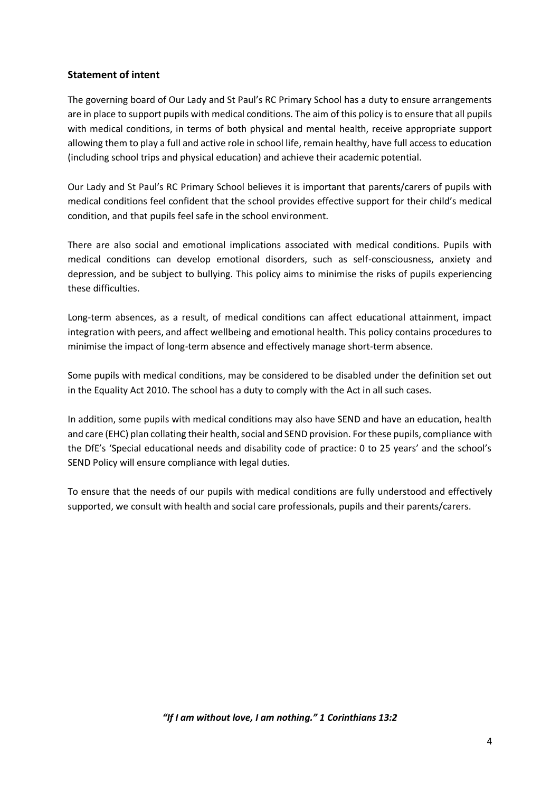#### <span id="page-3-0"></span>**Statement of intent**

The governing board of Our Lady and St Paul's RC Primary School has a duty to ensure arrangements are in place to support pupils with medical conditions. The aim of this policy is to ensure that all pupils with medical conditions, in terms of both physical and mental health, receive appropriate support allowing them to play a full and active role in school life, remain healthy, have full access to education (including school trips and physical education) and achieve their academic potential.

Our Lady and St Paul's RC Primary School believes it is important that parents/carers of pupils with medical conditions feel confident that the school provides effective support for their child's medical condition, and that pupils feel safe in the school environment.

There are also social and emotional implications associated with medical conditions. Pupils with medical conditions can develop emotional disorders, such as self-consciousness, anxiety and depression, and be subject to bullying. This policy aims to minimise the risks of pupils experiencing these difficulties.

Long-term absences, as a result, of medical conditions can affect educational attainment, impact integration with peers, and affect wellbeing and emotional health. This policy contains procedures to minimise the impact of long-term absence and effectively manage short-term absence.

Some pupils with medical conditions, may be considered to be disabled under the definition set out in the Equality Act 2010. The school has a duty to comply with the Act in all such cases.

In addition, some pupils with medical conditions may also have SEND and have an education, health and care (EHC) plan collating their health, social and SEND provision. For these pupils, compliance with the DfE's 'Special educational needs and disability code of practice: 0 to 25 years' and the school's SEND Policy will ensure compliance with legal duties.

<span id="page-3-1"></span>To ensure that the needs of our pupils with medical conditions are fully understood and effectively supported, we consult with health and social care professionals, pupils and their parents/carers.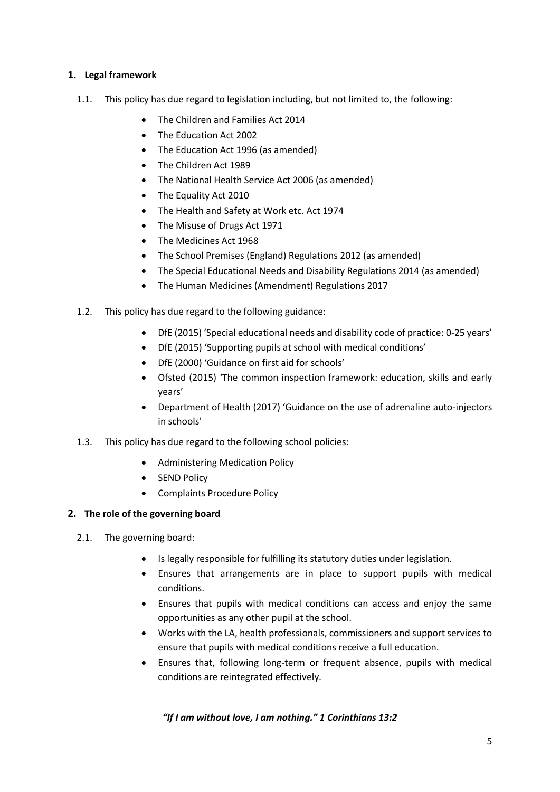#### **1. Legal framework**

- 1.1. This policy has due regard to legislation including, but not limited to, the following:
	- The Children and Families Act 2014
	- The Education Act 2002
	- The Education Act 1996 (as amended)
	- The Children Act 1989
	- The National Health Service Act 2006 (as amended)
	- The Equality Act 2010
	- The Health and Safety at Work etc. Act 1974
	- The Misuse of Drugs Act 1971
	- The Medicines Act 1968
	- The School Premises (England) Regulations 2012 (as amended)
	- The Special Educational Needs and Disability Regulations 2014 (as amended)
	- The Human Medicines (Amendment) Regulations 2017
- 1.2. This policy has due regard to the following guidance:
	- DfE (2015) 'Special educational needs and disability code of practice: 0-25 years'
	- DfE (2015) 'Supporting pupils at school with medical conditions'
	- DfE (2000) 'Guidance on first aid for schools'
	- Ofsted (2015) 'The common inspection framework: education, skills and early years'
	- Department of Health (2017) 'Guidance on the use of adrenaline auto-injectors in schools'
- 1.3. This policy has due regard to the following school policies:
	- Administering Medication Policy
	- SEND Policy
	- Complaints Procedure Policy

#### <span id="page-4-0"></span>**2. The role of the governing board**

- 2.1. The governing board:
	- Is legally responsible for fulfilling its statutory duties under legislation.
	- Ensures that arrangements are in place to support pupils with medical conditions.
	- Ensures that pupils with medical conditions can access and enjoy the same opportunities as any other pupil at the school.
	- Works with the LA, health professionals, commissioners and support services to ensure that pupils with medical conditions receive a full education.
	- Ensures that, following long-term or frequent absence, pupils with medical conditions are reintegrated effectively.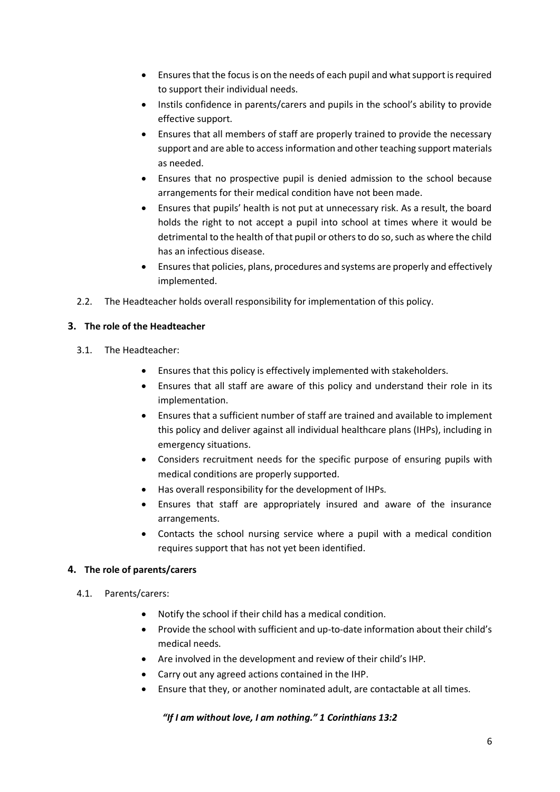- Ensures that the focus is on the needs of each pupil and what support is required to support their individual needs.
- Instils confidence in parents/carers and pupils in the school's ability to provide effective support.
- Ensures that all members of staff are properly trained to provide the necessary support and are able to access information and other teaching support materials as needed.
- Ensures that no prospective pupil is denied admission to the school because arrangements for their medical condition have not been made.
- Ensures that pupils' health is not put at unnecessary risk. As a result, the board holds the right to not accept a pupil into school at times where it would be detrimental to the health of that pupil or others to do so, such as where the child has an infectious disease.
- Ensures that policies, plans, procedures and systems are properly and effectively implemented.
- 2.2. The Headteacher holds overall responsibility for implementation of this policy.

#### <span id="page-5-0"></span>**3. The role of the Headteacher**

- 3.1. The Headteacher:
	- Ensures that this policy is effectively implemented with stakeholders.
	- Ensures that all staff are aware of this policy and understand their role in its implementation.
	- Ensures that a sufficient number of staff are trained and available to implement this policy and deliver against all individual healthcare plans (IHPs), including in emergency situations.
	- Considers recruitment needs for the specific purpose of ensuring pupils with medical conditions are properly supported.
	- Has overall responsibility for the development of IHPs.
	- Ensures that staff are appropriately insured and aware of the insurance arrangements.
	- Contacts the school nursing service where a pupil with a medical condition requires support that has not yet been identified.

#### <span id="page-5-1"></span>**4. The role of parents/carers**

- 4.1. Parents/carers:
	- Notify the school if their child has a medical condition.
	- Provide the school with sufficient and up-to-date information about their child's medical needs.
	- Are involved in the development and review of their child's IHP.
	- Carry out any agreed actions contained in the IHP.
	- Ensure that they, or another nominated adult, are contactable at all times.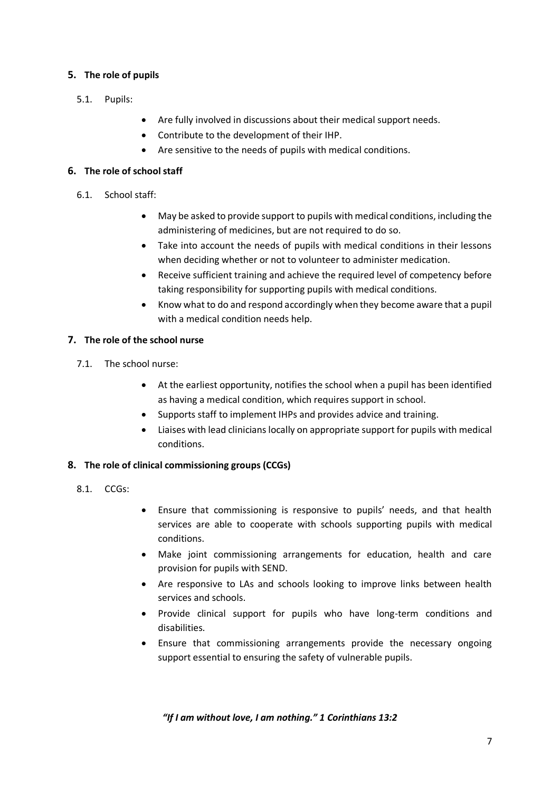#### <span id="page-6-0"></span>**5. The role of pupils**

- 5.1. Pupils:
- Are fully involved in discussions about their medical support needs.
- Contribute to the development of their IHP.
- Are sensitive to the needs of pupils with medical conditions.

#### <span id="page-6-1"></span>**6. The role of school staff**

- 6.1. School staff:
	- May be asked to provide support to pupils with medical conditions, including the administering of medicines, but are not required to do so.
	- Take into account the needs of pupils with medical conditions in their lessons when deciding whether or not to volunteer to administer medication.
	- Receive sufficient training and achieve the required level of competency before taking responsibility for supporting pupils with medical conditions.
	- Know what to do and respond accordingly when they become aware that a pupil with a medical condition needs help.

#### <span id="page-6-2"></span>**7. The role of the school nurse**

- 7.1. The school nurse:
	- At the earliest opportunity, notifies the school when a pupil has been identified as having a medical condition, which requires support in school.
	- Supports staff to implement IHPs and provides advice and training.
	- Liaises with lead clinicians locally on appropriate support for pupils with medical conditions.

#### <span id="page-6-3"></span>**8. The role of clinical commissioning groups (CCGs)**

- 8.1. CCGs:
- Ensure that commissioning is responsive to pupils' needs, and that health services are able to cooperate with schools supporting pupils with medical conditions.
- Make joint commissioning arrangements for education, health and care provision for pupils with SEND.
- Are responsive to LAs and schools looking to improve links between health services and schools.
- Provide clinical support for pupils who have long-term conditions and disabilities.
- Ensure that commissioning arrangements provide the necessary ongoing support essential to ensuring the safety of vulnerable pupils.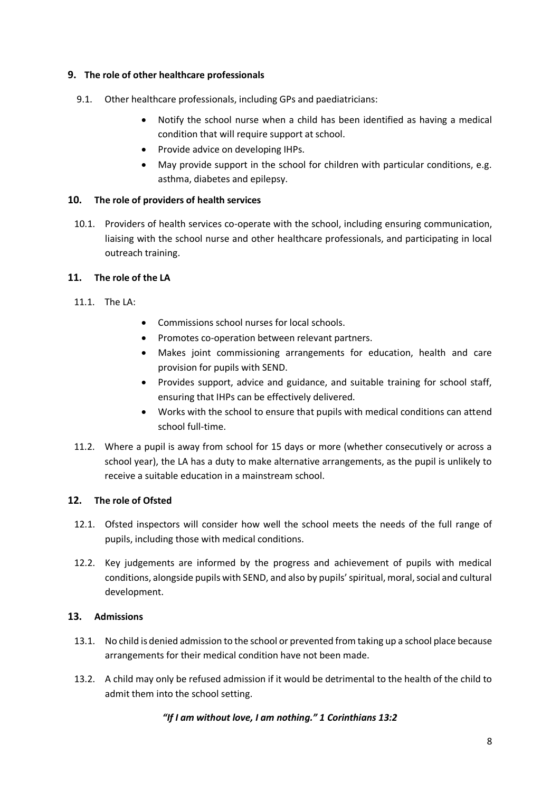#### <span id="page-7-0"></span>**9. The role of other healthcare professionals**

- 9.1. Other healthcare professionals, including GPs and paediatricians:
	- Notify the school nurse when a child has been identified as having a medical condition that will require support at school.
	- Provide advice on developing IHPs.
	- May provide support in the school for children with particular conditions, e.g. asthma, diabetes and epilepsy.

#### <span id="page-7-1"></span>**10. The role of providers of health services**

10.1. Providers of health services co-operate with the school, including ensuring communication, liaising with the school nurse and other healthcare professionals, and participating in local outreach training.

#### <span id="page-7-2"></span>**11. The role of the LA**

- 11.1. The LA:
- Commissions school nurses for local schools.
- Promotes co-operation between relevant partners.
- Makes joint commissioning arrangements for education, health and care provision for pupils with SEND.
- Provides support, advice and guidance, and suitable training for school staff, ensuring that IHPs can be effectively delivered.
- Works with the school to ensure that pupils with medical conditions can attend school full-time.
- 11.2. Where a pupil is away from school for 15 days or more (whether consecutively or across a school year), the LA has a duty to make alternative arrangements, as the pupil is unlikely to receive a suitable education in a mainstream school.

#### <span id="page-7-3"></span>**12. The role of Ofsted**

- 12.1. Ofsted inspectors will consider how well the school meets the needs of the full range of pupils, including those with medical conditions.
- 12.2. Key judgements are informed by the progress and achievement of pupils with medical conditions, alongside pupils with SEND, and also by pupils' spiritual, moral, social and cultural development.

#### <span id="page-7-4"></span>**13. Admissions**

- 13.1. No child is denied admission to the school or prevented from taking up a school place because arrangements for their medical condition have not been made.
- 13.2. A child may only be refused admission if it would be detrimental to the health of the child to admit them into the school setting.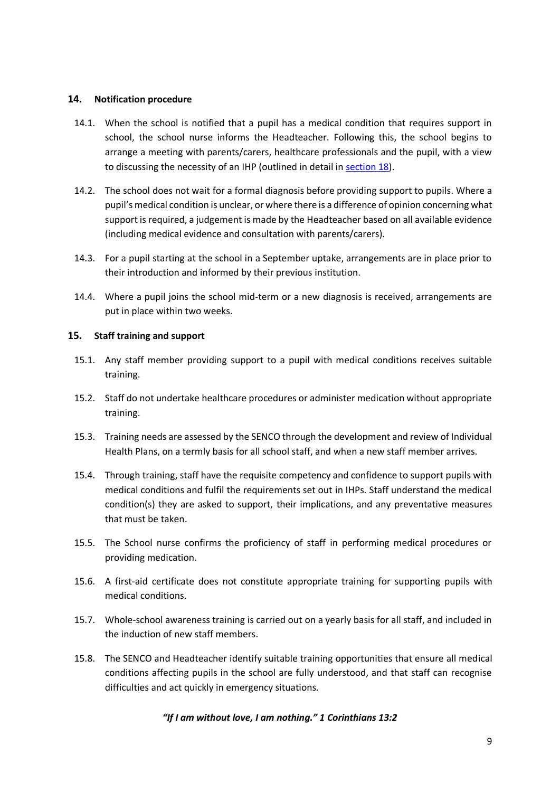#### <span id="page-8-0"></span>**14. Notification procedure**

- 14.1. When the school is notified that a pupil has a medical condition that requires support in school, the school nurse informs the Headteacher. Following this, the school begins to arrange a meeting with parents/carers, healthcare professionals and the pupil, with a view to discussing the necessity of an IHP (outlined in detail i[n section 18\)](#page-9-2).
- 14.2. The school does not wait for a formal diagnosis before providing support to pupils. Where a pupil's medical condition is unclear, or where there is a difference of opinion concerning what support is required, a judgement is made by the Headteacher based on all available evidence (including medical evidence and consultation with parents/carers).
- 14.3. For a pupil starting at the school in a September uptake, arrangements are in place prior to their introduction and informed by their previous institution.
- 14.4. Where a pupil joins the school mid-term or a new diagnosis is received, arrangements are put in place within two weeks.

#### <span id="page-8-1"></span>**15. Staff training and support**

- 15.1. Any staff member providing support to a pupil with medical conditions receives suitable training.
- 15.2. Staff do not undertake healthcare procedures or administer medication without appropriate training.
- 15.3. Training needs are assessed by the SENCO through the development and review of Individual Health Plans, on a termly basis for all school staff, and when a new staff member arrives.
- 15.4. Through training, staff have the requisite competency and confidence to support pupils with medical conditions and fulfil the requirements set out in IHPs. Staff understand the medical condition(s) they are asked to support, their implications, and any preventative measures that must be taken.
- 15.5. The School nurse confirms the proficiency of staff in performing medical procedures or providing medication.
- 15.6. A first-aid certificate does not constitute appropriate training for supporting pupils with medical conditions.
- 15.7. Whole-school awareness training is carried out on a yearly basis for all staff, and included in the induction of new staff members.
- 15.8. The SENCO and Headteacher identify suitable training opportunities that ensure all medical conditions affecting pupils in the school are fully understood, and that staff can recognise difficulties and act quickly in emergency situations.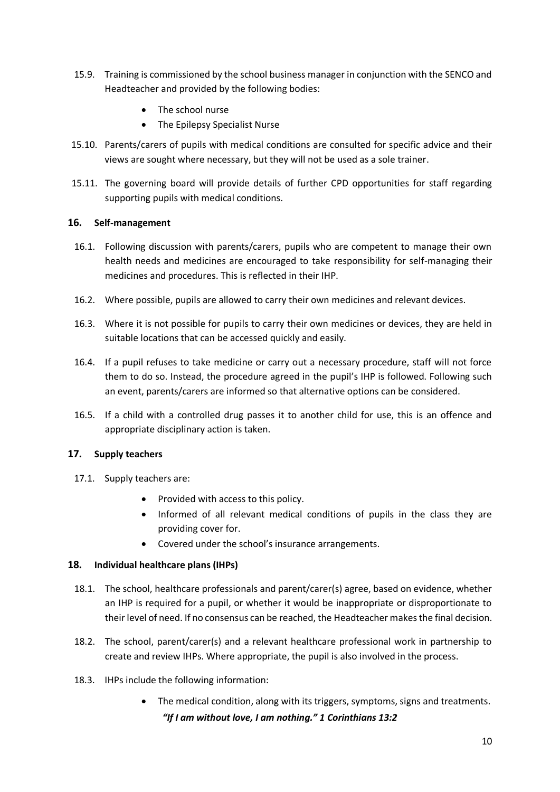- 15.9. Training is commissioned by the school business manager in conjunction with the SENCO and Headteacher and provided by the following bodies:
	- The school nurse
	- The Epilepsy Specialist Nurse
- 15.10. Parents/carers of pupils with medical conditions are consulted for specific advice and their views are sought where necessary, but they will not be used as a sole trainer.
- 15.11. The governing board will provide details of further CPD opportunities for staff regarding supporting pupils with medical conditions.

#### <span id="page-9-0"></span>**16. Self-management**

- 16.1. Following discussion with parents/carers, pupils who are competent to manage their own health needs and medicines are encouraged to take responsibility for self-managing their medicines and procedures. This is reflected in their IHP.
- 16.2. Where possible, pupils are allowed to carry their own medicines and relevant devices.
- 16.3. Where it is not possible for pupils to carry their own medicines or devices, they are held in suitable locations that can be accessed quickly and easily.
- 16.4. If a pupil refuses to take medicine or carry out a necessary procedure, staff will not force them to do so. Instead, the procedure agreed in the pupil's IHP is followed. Following such an event, parents/carers are informed so that alternative options can be considered.
- 16.5. If a child with a controlled drug passes it to another child for use, this is an offence and appropriate disciplinary action is taken.

#### <span id="page-9-1"></span>**17. Supply teachers**

- 17.1. Supply teachers are:
	- Provided with access to this policy.
	- Informed of all relevant medical conditions of pupils in the class they are providing cover for.
	- Covered under the school's insurance arrangements.

#### <span id="page-9-2"></span>**18. Individual healthcare plans (IHPs)**

- 18.1. The school, healthcare professionals and parent/carer(s) agree, based on evidence, whether an IHP is required for a pupil, or whether it would be inappropriate or disproportionate to their level of need. If no consensus can be reached, the Headteacher makes the final decision.
- 18.2. The school, parent/carer(s) and a relevant healthcare professional work in partnership to create and review IHPs. Where appropriate, the pupil is also involved in the process.
- 18.3. IHPs include the following information:
	- *"If I am without love, I am nothing." 1 Corinthians 13:2* The medical condition, along with its triggers, symptoms, signs and treatments.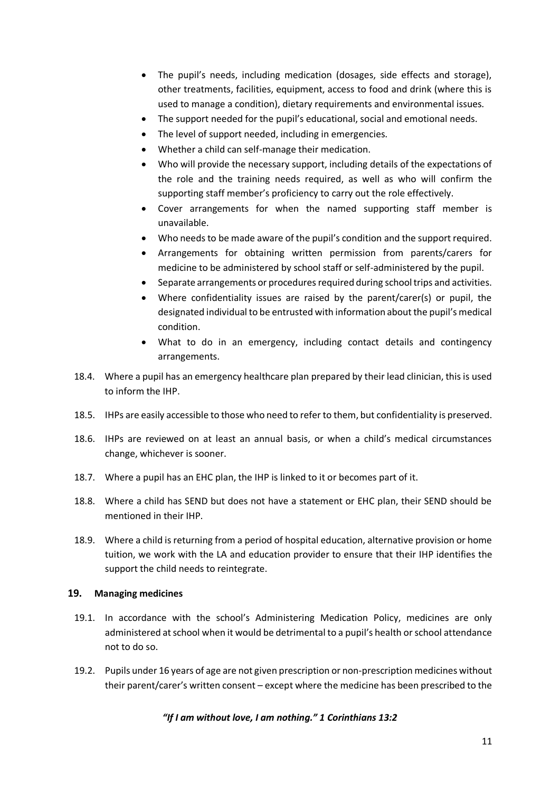- The pupil's needs, including medication (dosages, side effects and storage), other treatments, facilities, equipment, access to food and drink (where this is used to manage a condition), dietary requirements and environmental issues.
- The support needed for the pupil's educational, social and emotional needs.
- The level of support needed, including in emergencies.
- Whether a child can self-manage their medication.
- Who will provide the necessary support, including details of the expectations of the role and the training needs required, as well as who will confirm the supporting staff member's proficiency to carry out the role effectively.
- Cover arrangements for when the named supporting staff member is unavailable.
- Who needs to be made aware of the pupil's condition and the support required.
- Arrangements for obtaining written permission from parents/carers for medicine to be administered by school staff or self-administered by the pupil.
- Separate arrangements or procedures required during school trips and activities.
- Where confidentiality issues are raised by the parent/carer(s) or pupil, the designated individual to be entrusted with information about the pupil's medical condition.
- What to do in an emergency, including contact details and contingency arrangements.
- 18.4. Where a pupil has an emergency healthcare plan prepared by their lead clinician, this is used to inform the IHP.
- 18.5. IHPs are easily accessible to those who need to refer to them, but confidentiality is preserved.
- 18.6. IHPs are reviewed on at least an annual basis, or when a child's medical circumstances change, whichever is sooner.
- 18.7. Where a pupil has an EHC plan, the IHP is linked to it or becomes part of it.
- 18.8. Where a child has SEND but does not have a statement or EHC plan, their SEND should be mentioned in their IHP.
- 18.9. Where a child is returning from a period of hospital education, alternative provision or home tuition, we work with the LA and education provider to ensure that their IHP identifies the support the child needs to reintegrate.

#### <span id="page-10-0"></span>**19. Managing medicines**

- 19.1. In accordance with the school's Administering Medication Policy, medicines are only administered at school when it would be detrimental to a pupil's health or school attendance not to do so.
- 19.2. Pupils under 16 years of age are not given prescription or non-prescription medicines without their parent/carer's written consent – except where the medicine has been prescribed to the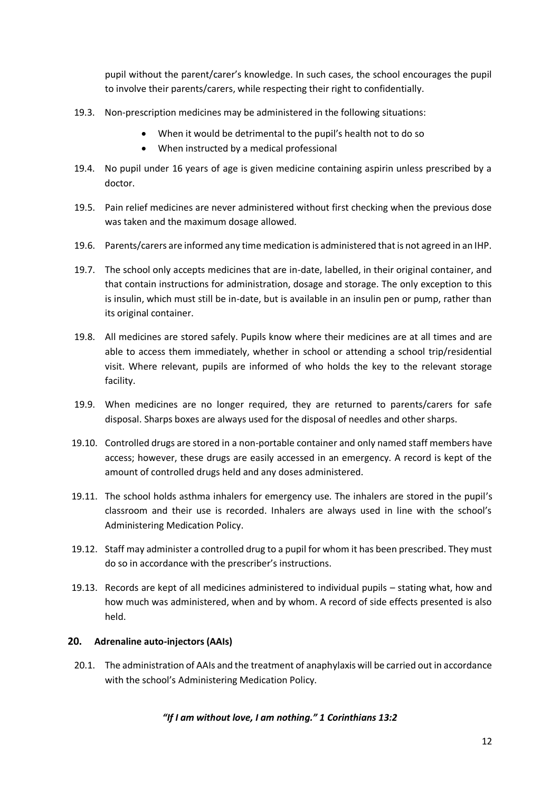pupil without the parent/carer's knowledge. In such cases, the school encourages the pupil to involve their parents/carers, while respecting their right to confidentially.

- 19.3. Non-prescription medicines may be administered in the following situations:
	- When it would be detrimental to the pupil's health not to do so
	- When instructed by a medical professional
- 19.4. No pupil under 16 years of age is given medicine containing aspirin unless prescribed by a doctor.
- 19.5. Pain relief medicines are never administered without first checking when the previous dose was taken and the maximum dosage allowed.
- 19.6. Parents/carers are informed any time medication is administered that is not agreed in an IHP.
- 19.7. The school only accepts medicines that are in-date, labelled, in their original container, and that contain instructions for administration, dosage and storage. The only exception to this is insulin, which must still be in-date, but is available in an insulin pen or pump, rather than its original container.
- 19.8. All medicines are stored safely. Pupils know where their medicines are at all times and are able to access them immediately, whether in school or attending a school trip/residential visit. Where relevant, pupils are informed of who holds the key to the relevant storage facility.
- 19.9. When medicines are no longer required, they are returned to parents/carers for safe disposal. Sharps boxes are always used for the disposal of needles and other sharps.
- 19.10. Controlled drugs are stored in a non-portable container and only named staff members have access; however, these drugs are easily accessed in an emergency. A record is kept of the amount of controlled drugs held and any doses administered.
- 19.11. The school holds asthma inhalers for emergency use. The inhalers are stored in the pupil's classroom and their use is recorded. Inhalers are always used in line with the school's Administering Medication Policy.
- 19.12. Staff may administer a controlled drug to a pupil for whom it has been prescribed. They must do so in accordance with the prescriber's instructions.
- 19.13. Records are kept of all medicines administered to individual pupils stating what, how and how much was administered, when and by whom. A record of side effects presented is also held.

#### <span id="page-11-0"></span>**20. Adrenaline auto-injectors (AAIs)**

20.1. The administration of AAIs and the treatment of anaphylaxis will be carried out in accordance with the school's Administering Medication Policy.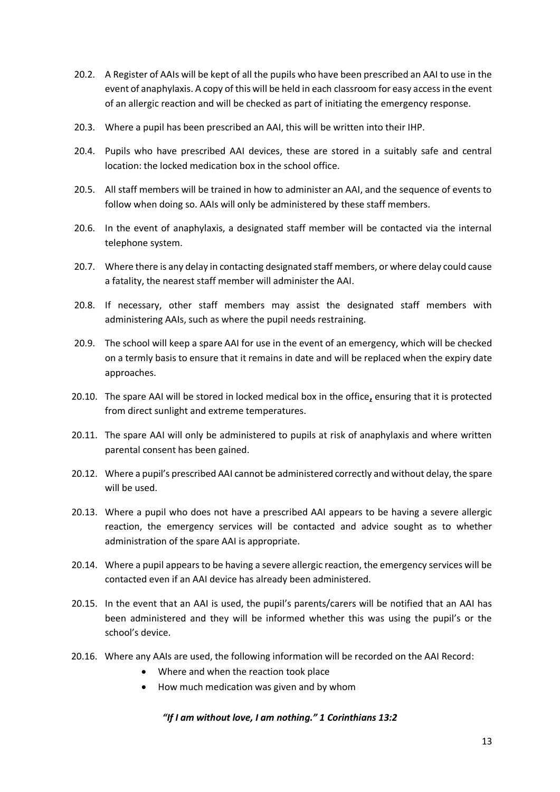- 20.2. A Register of AAIs will be kept of all the pupils who have been prescribed an AAI to use in the event of anaphylaxis. A copy of this will be held in each classroom for easy access in the event of an allergic reaction and will be checked as part of initiating the emergency response.
- 20.3. Where a pupil has been prescribed an AAI, this will be written into their IHP.
- 20.4. Pupils who have prescribed AAI devices, these are stored in a suitably safe and central location: the locked medication box in the school office.
- 20.5. All staff members will be trained in how to administer an AAI, and the sequence of events to follow when doing so. AAIs will only be administered by these staff members.
- 20.6. In the event of anaphylaxis, a designated staff member will be contacted via the internal telephone system.
- 20.7. Where there is any delay in contacting designated staff members, or where delay could cause a fatality, the nearest staff member will administer the AAI.
- 20.8. If necessary, other staff members may assist the designated staff members with administering AAIs, such as where the pupil needs restraining.
- 20.9. The school will keep a spare AAI for use in the event of an emergency, which will be checked on a termly basis to ensure that it remains in date and will be replaced when the expiry date approaches.
- 20.10. The spare AAI will be stored in locked medical box in the office**,** ensuring that it is protected from direct sunlight and extreme temperatures.
- 20.11. The spare AAI will only be administered to pupils at risk of anaphylaxis and where written parental consent has been gained.
- 20.12. Where a pupil's prescribed AAI cannot be administered correctly and without delay, the spare will be used.
- 20.13. Where a pupil who does not have a prescribed AAI appears to be having a severe allergic reaction, the emergency services will be contacted and advice sought as to whether administration of the spare AAI is appropriate.
- 20.14. Where a pupil appears to be having a severe allergic reaction, the emergency services will be contacted even if an AAI device has already been administered.
- 20.15. In the event that an AAI is used, the pupil's parents/carers will be notified that an AAI has been administered and they will be informed whether this was using the pupil's or the school's device.
- 20.16. Where any AAIs are used, the following information will be recorded on the AAI Record:
	- Where and when the reaction took place
	- How much medication was given and by whom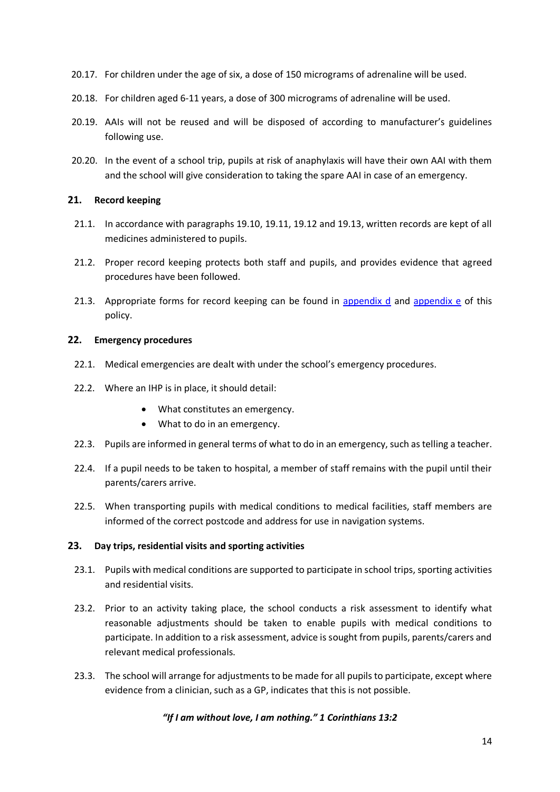- 20.17. For children under the age of six, a dose of 150 micrograms of adrenaline will be used.
- 20.18. For children aged 6-11 years, a dose of 300 micrograms of adrenaline will be used.
- 20.19. AAIs will not be reused and will be disposed of according to manufacturer's guidelines following use.
- 20.20. In the event of a school trip, pupils at risk of anaphylaxis will have their own AAI with them and the school will give consideration to taking the spare AAI in case of an emergency.

#### <span id="page-13-0"></span>**21. Record keeping**

- 21.1. In accordance with paragraphs 19.10, 19.11, 19.12 and 19.13, written records are kept of all medicines administered to pupils.
- 21.2. Proper record keeping protects both staff and pupils, and provides evidence that agreed procedures have been followed.
- 21.3. Appropriate forms for record keeping can be found in [appendix d](#page-22-0) and [appendix e](#page-25-0) of this policy.

#### <span id="page-13-1"></span>**22. Emergency procedures**

- 22.1. Medical emergencies are dealt with under the school's emergency procedures.
- 22.2. Where an IHP is in place, it should detail:
	- What constitutes an emergency.
	- What to do in an emergency.
- 22.3. Pupils are informed in general terms of what to do in an emergency, such as telling a teacher.
- 22.4. If a pupil needs to be taken to hospital, a member of staff remains with the pupil until their parents/carers arrive.
- 22.5. When transporting pupils with medical conditions to medical facilities, staff members are informed of the correct postcode and address for use in navigation systems.

#### <span id="page-13-2"></span>**23. Day trips, residential visits and sporting activities**

- 23.1. Pupils with medical conditions are supported to participate in school trips, sporting activities and residential visits.
- 23.2. Prior to an activity taking place, the school conducts a risk assessment to identify what reasonable adjustments should be taken to enable pupils with medical conditions to participate. In addition to a risk assessment, advice is sought from pupils, parents/carers and relevant medical professionals.
- 23.3. The school will arrange for adjustments to be made for all pupils to participate, except where evidence from a clinician, such as a GP, indicates that this is not possible.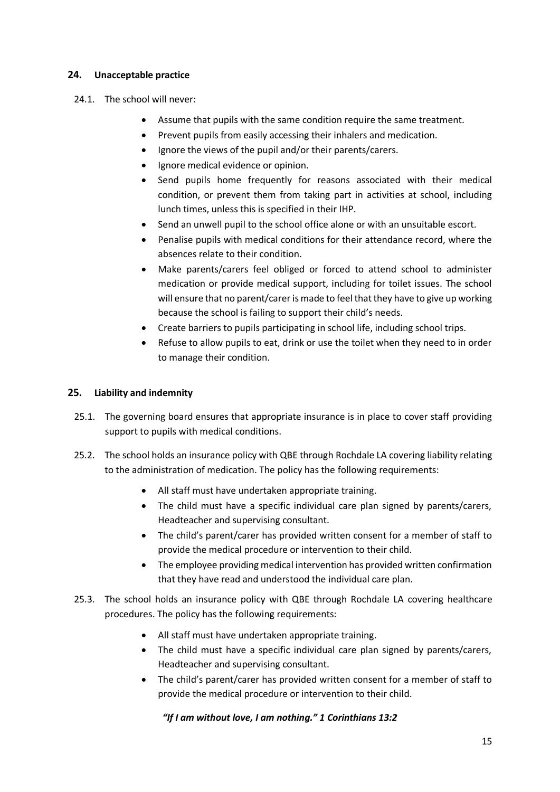#### <span id="page-14-0"></span>**24. Unacceptable practice**

- 24.1. The school will never:
	- Assume that pupils with the same condition require the same treatment.
	- Prevent pupils from easily accessing their inhalers and medication.
	- Ignore the views of the pupil and/or their parents/carers.
	- Ignore medical evidence or opinion.
	- Send pupils home frequently for reasons associated with their medical condition, or prevent them from taking part in activities at school, including lunch times, unless this is specified in their IHP.
	- Send an unwell pupil to the school office alone or with an unsuitable escort.
	- Penalise pupils with medical conditions for their attendance record, where the absences relate to their condition.
	- Make parents/carers feel obliged or forced to attend school to administer medication or provide medical support, including for toilet issues. The school will ensure that no parent/carer is made to feel that they have to give up working because the school is failing to support their child's needs.
	- Create barriers to pupils participating in school life, including school trips.
	- Refuse to allow pupils to eat, drink or use the toilet when they need to in order to manage their condition.

#### <span id="page-14-1"></span>**25. Liability and indemnity**

- 25.1. The governing board ensures that appropriate insurance is in place to cover staff providing support to pupils with medical conditions.
- 25.2. The school holds an insurance policy with QBE through Rochdale LA covering liability relating to the administration of medication. The policy has the following requirements:
	- All staff must have undertaken appropriate training.
	- The child must have a specific individual care plan signed by parents/carers, Headteacher and supervising consultant.
	- The child's parent/carer has provided written consent for a member of staff to provide the medical procedure or intervention to their child.
	- The employee providing medical intervention has provided written confirmation that they have read and understood the individual care plan.
- 25.3. The school holds an insurance policy with QBE through Rochdale LA covering healthcare procedures. The policy has the following requirements:
	- All staff must have undertaken appropriate training.
	- The child must have a specific individual care plan signed by parents/carers, Headteacher and supervising consultant.
	- The child's parent/carer has provided written consent for a member of staff to provide the medical procedure or intervention to their child.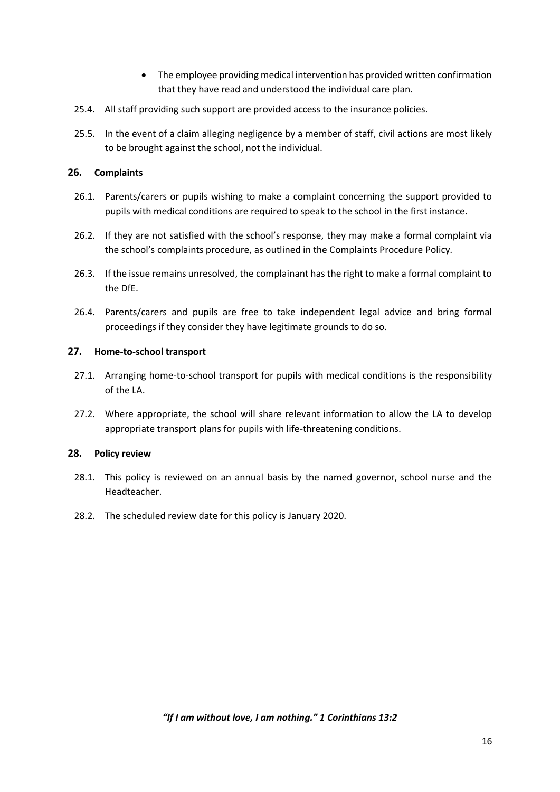- The employee providing medical intervention has provided written confirmation that they have read and understood the individual care plan.
- 25.4. All staff providing such support are provided access to the insurance policies.
- 25.5. In the event of a claim alleging negligence by a member of staff, civil actions are most likely to be brought against the school, not the individual.

#### <span id="page-15-0"></span>**26. Complaints**

- 26.1. Parents/carers or pupils wishing to make a complaint concerning the support provided to pupils with medical conditions are required to speak to the school in the first instance.
- 26.2. If they are not satisfied with the school's response, they may make a formal complaint via the school's complaints procedure, as outlined in the Complaints Procedure Policy.
- 26.3. If the issue remains unresolved, the complainant has the right to make a formal complaint to the DfE.
- 26.4. Parents/carers and pupils are free to take independent legal advice and bring formal proceedings if they consider they have legitimate grounds to do so.

#### <span id="page-15-1"></span>**27. Home-to-school transport**

- 27.1. Arranging home-to-school transport for pupils with medical conditions is the responsibility of the LA.
- 27.2. Where appropriate, the school will share relevant information to allow the LA to develop appropriate transport plans for pupils with life-threatening conditions.

#### <span id="page-15-2"></span>**28. Policy review**

- 28.1. This policy is reviewed on an annual basis by the named governor, school nurse and the Headteacher.
- 28.2. The scheduled review date for this policy is January 2020.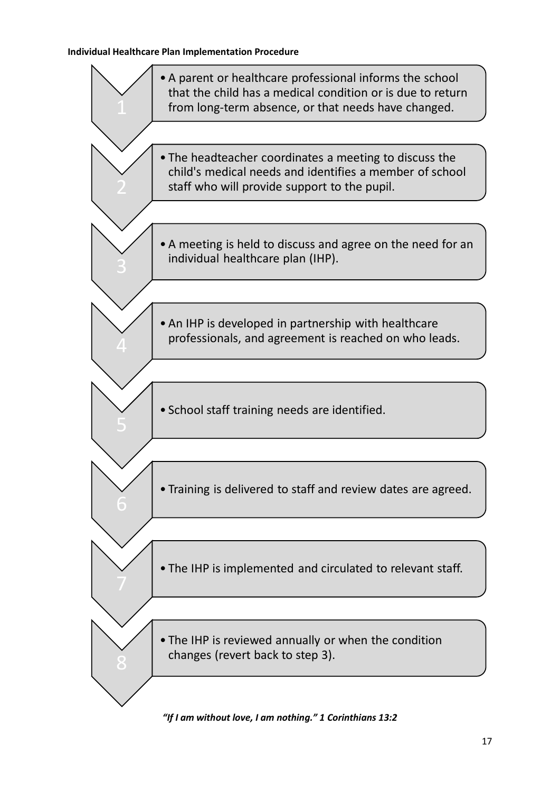#### <span id="page-16-0"></span>**Individual Healthcare Plan Implementation Procedure**

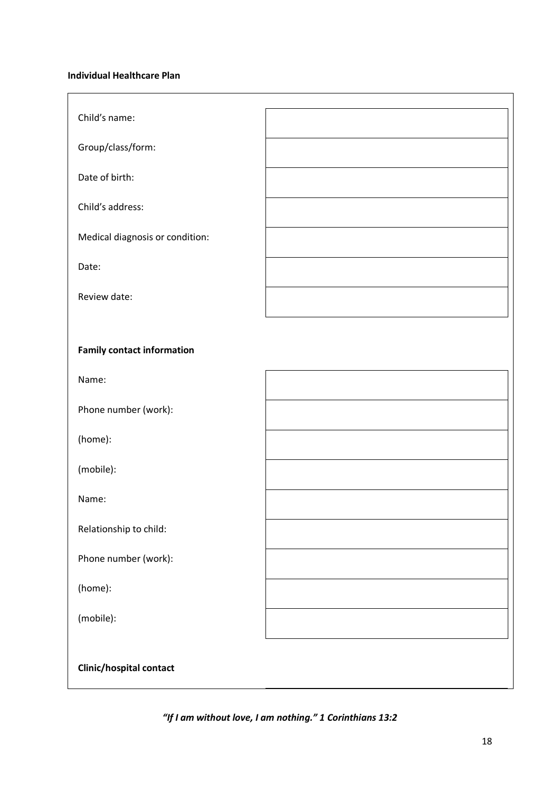#### <span id="page-17-0"></span>**Individual Healthcare Plan**

| Child's name:                     |  |
|-----------------------------------|--|
| Group/class/form:                 |  |
| Date of birth:                    |  |
| Child's address:                  |  |
| Medical diagnosis or condition:   |  |
| Date:                             |  |
| Review date:                      |  |
|                                   |  |
| <b>Family contact information</b> |  |
| Name:                             |  |
| Phone number (work):              |  |
| (home):                           |  |
| (mobile):                         |  |
| Name:                             |  |
| Relationship to child:            |  |
| Phone number (work):              |  |
| (home):                           |  |
| (mobile):                         |  |
| Clinic/hospital contact           |  |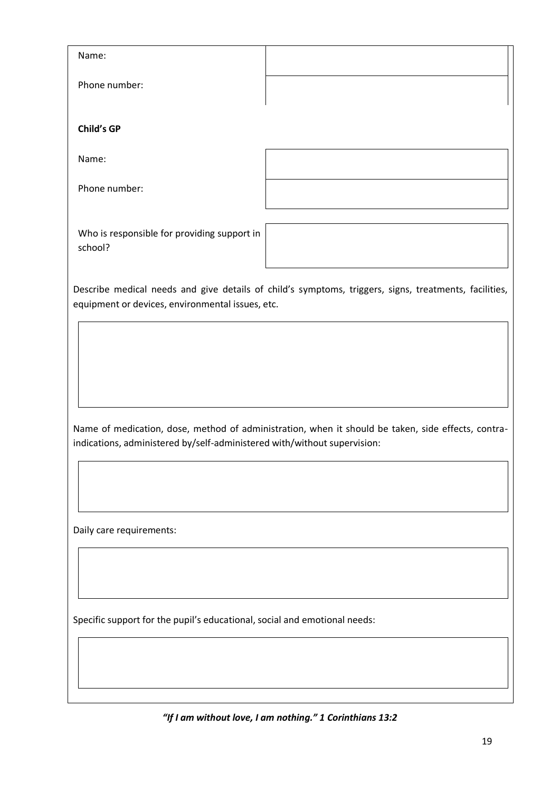| Name:                                                                     |                                                                                                       |
|---------------------------------------------------------------------------|-------------------------------------------------------------------------------------------------------|
| Phone number:                                                             |                                                                                                       |
| <b>Child's GP</b>                                                         |                                                                                                       |
| Name:                                                                     |                                                                                                       |
| Phone number:                                                             |                                                                                                       |
| Who is responsible for providing support in<br>school?                    |                                                                                                       |
| equipment or devices, environmental issues, etc.                          | Describe medical needs and give details of child's symptoms, triggers, signs, treatments, facilities, |
|                                                                           |                                                                                                       |
|                                                                           |                                                                                                       |
|                                                                           |                                                                                                       |
| indications, administered by/self-administered with/without supervision:  | Name of medication, dose, method of administration, when it should be taken, side effects, contra-    |
|                                                                           |                                                                                                       |
|                                                                           |                                                                                                       |
| Daily care requirements:                                                  |                                                                                                       |
|                                                                           |                                                                                                       |
|                                                                           |                                                                                                       |
| Specific support for the pupil's educational, social and emotional needs: |                                                                                                       |
|                                                                           |                                                                                                       |
|                                                                           |                                                                                                       |
|                                                                           | "If I am without love, I am nothing." 1 Corinthians 13:2                                              |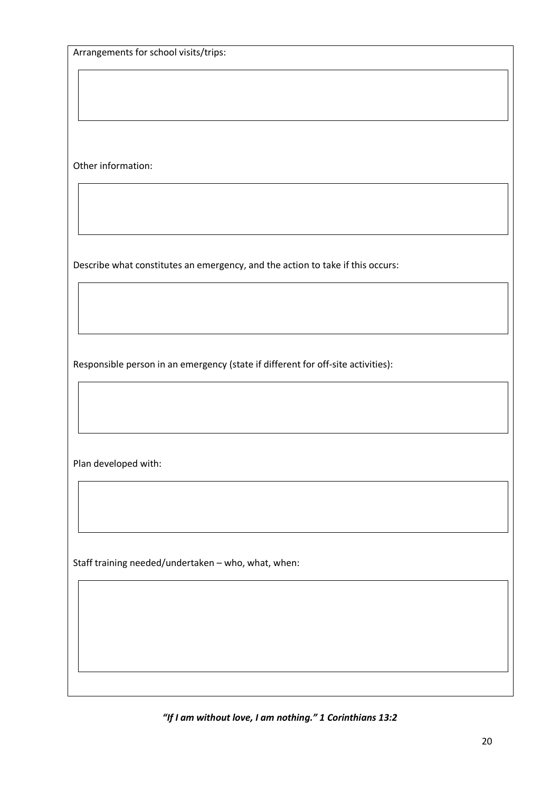Arrangements for school visits/trips:

Other information:

Describe what constitutes an emergency, and the action to take if this occurs:

Responsible person in an emergency (state if different for off-site activities):

Plan developed with:

Staff training needed/undertaken – who, what, when: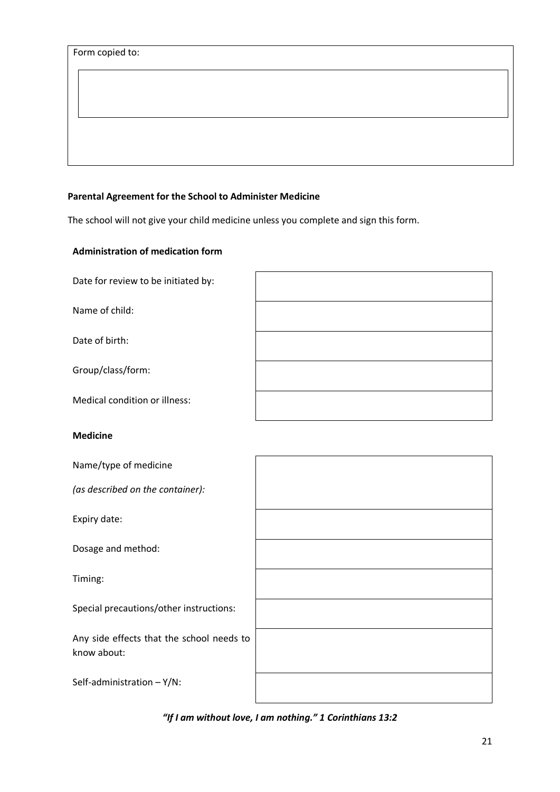#### <span id="page-20-0"></span>**Parental Agreement for the School to Administer Medicine**

The school will not give your child medicine unless you complete and sign this form.

#### **Administration of medication form**

Date for review to be initiated by:

Name of child:

Date of birth:

Group/class/form:

Medical condition or illness:

#### **Medicine**

Name/type of medicine

*(as described on the container):*

Expiry date:

Dosage and method:

Timing:

Special precautions/other instructions:

Any side effects that the school needs to know about:

Self-administration – Y/N:

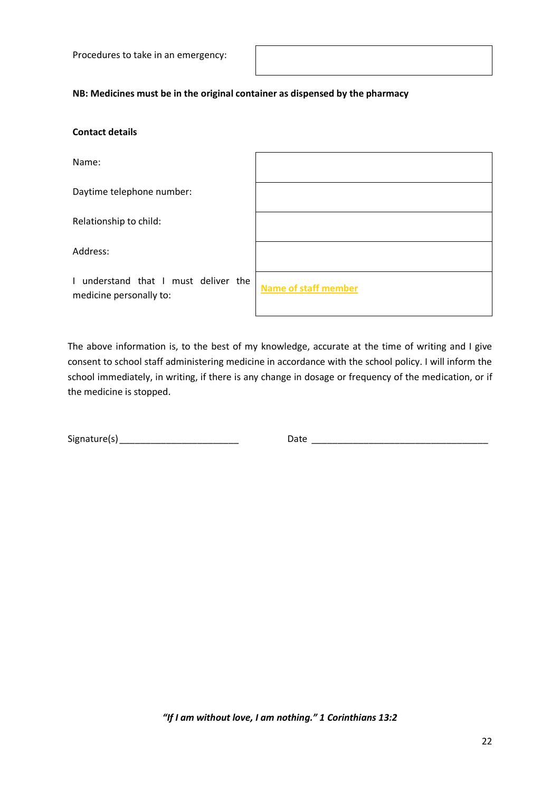Procedures to take in an emergency:

#### **NB: Medicines must be in the original container as dispensed by the pharmacy**

#### **Contact details**

Name:

Daytime telephone number:

Relationship to child:

Address:

I understand that I must deliver th medicine personally to:

| ١e | <b>Name of staff member</b> |
|----|-----------------------------|

The above information is, to the best of my knowledge, accurate at the time of writing and I give consent to school staff administering medicine in accordance with the school policy. I will inform the school immediately, in writing, if there is any change in dosage or frequency of the medication, or if the medicine is stopped.

Signature(s) example and the Date of Date of the Date of the Second Library and the Second Library and the Second Library and the Second Library and the Second Library and the Second Library and the Second Library and the

*"If I am without love, I am nothing." 1 Corinthians 13:2*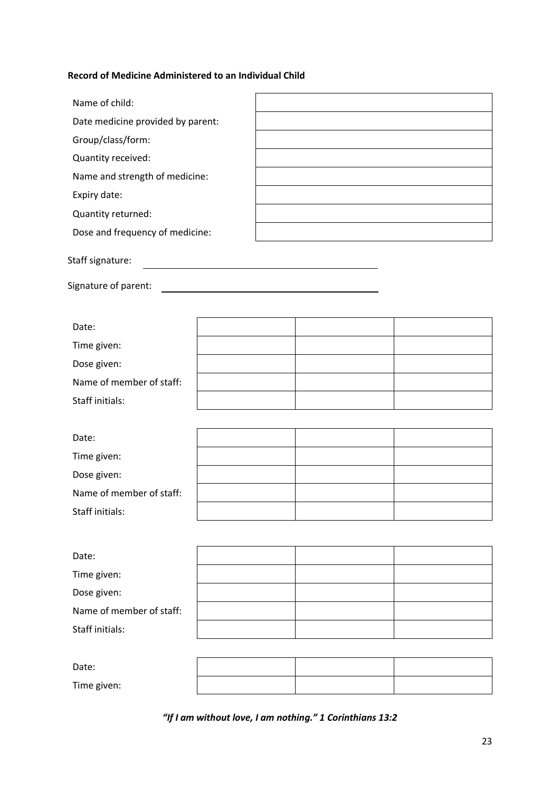#### <span id="page-22-0"></span>**Record of Medicine Administered to an Individual Child**

**r** 

| Name of child:                    |                                                                                                                        |  |
|-----------------------------------|------------------------------------------------------------------------------------------------------------------------|--|
| Date medicine provided by parent: |                                                                                                                        |  |
| Group/class/form:                 |                                                                                                                        |  |
| Quantity received:                |                                                                                                                        |  |
| Name and strength of medicine:    |                                                                                                                        |  |
| Expiry date:                      |                                                                                                                        |  |
| Quantity returned:                |                                                                                                                        |  |
| Dose and frequency of medicine:   |                                                                                                                        |  |
| Staff signature:                  | <u> 1989 - Johann Barn, mars ann an t-Amhain ann an t-Amhain an t-Amhain an t-Amhain an t-Amhain an t-Amhain an t-</u> |  |
|                                   |                                                                                                                        |  |
|                                   |                                                                                                                        |  |
| Date:                             |                                                                                                                        |  |
| Time given:                       |                                                                                                                        |  |
| Dose given:                       |                                                                                                                        |  |
| Name of member of staff:          |                                                                                                                        |  |
| Staff initials:                   |                                                                                                                        |  |
|                                   |                                                                                                                        |  |
| Date:                             |                                                                                                                        |  |
| Time given:                       |                                                                                                                        |  |
| Dose given:                       |                                                                                                                        |  |
| Name of member of staff:          |                                                                                                                        |  |
| Staff initials:                   |                                                                                                                        |  |
|                                   |                                                                                                                        |  |
| Date:                             |                                                                                                                        |  |
| Time given:                       |                                                                                                                        |  |
| Dose given:                       |                                                                                                                        |  |
| Name of member of staff:          |                                                                                                                        |  |
| Staff initials:                   |                                                                                                                        |  |
|                                   |                                                                                                                        |  |
| Date:                             |                                                                                                                        |  |
| Time given:                       |                                                                                                                        |  |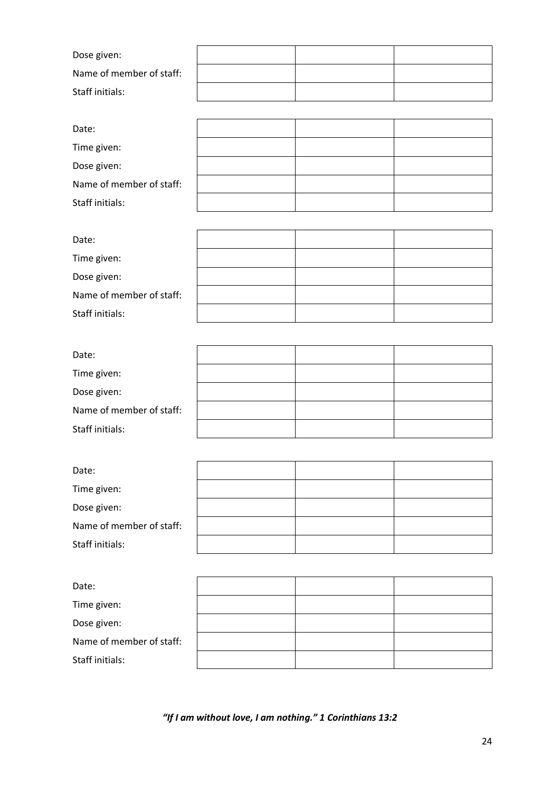| Dose given:              |  |  |
|--------------------------|--|--|
| Name of member of staff: |  |  |
| Staff initials:          |  |  |

| Date:                    |  |  |
|--------------------------|--|--|
| Time given:              |  |  |
| Dose given:              |  |  |
| Name of member of staff: |  |  |
| Staff initials:          |  |  |

| Date:                    |  |  |
|--------------------------|--|--|
| Time given:              |  |  |
| Dose given:              |  |  |
| Name of member of staff: |  |  |
| Staff initials:          |  |  |

| Date:                    |  |  |
|--------------------------|--|--|
| Time given:              |  |  |
| Dose given:              |  |  |
| Name of member of staff: |  |  |
| Staff initials:          |  |  |

| Date:                    |  |  |
|--------------------------|--|--|
| Time given:              |  |  |
| Dose given:              |  |  |
| Name of member of staff: |  |  |
| Staff initials:          |  |  |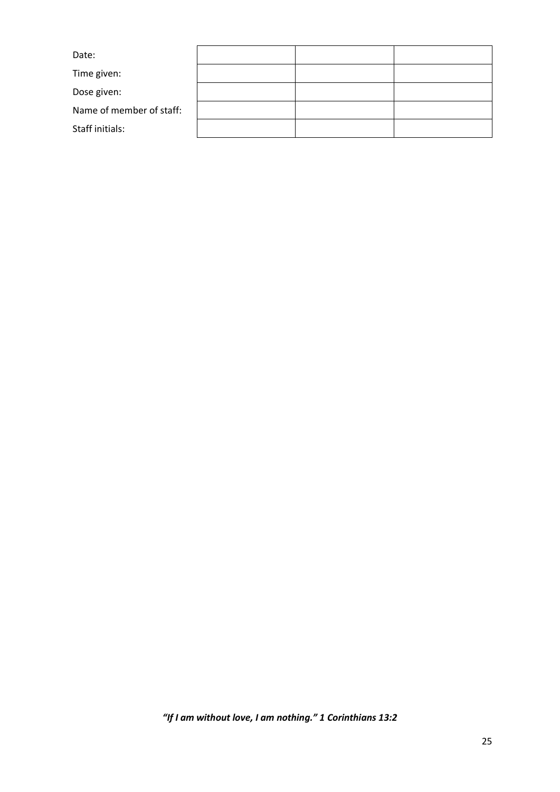| Date:                    |  |  |
|--------------------------|--|--|
| Time given:              |  |  |
| Dose given:              |  |  |
| Name of member of staff: |  |  |
| Staff initials:          |  |  |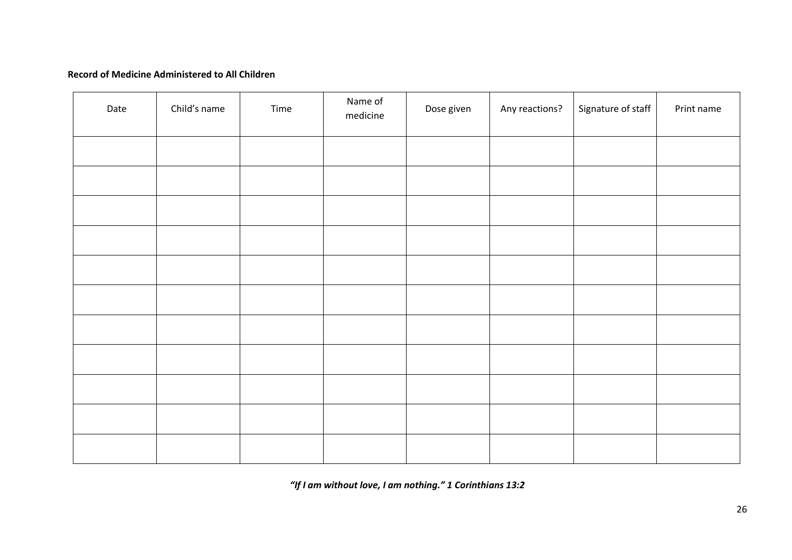#### **Record of Medicine Administered to All Children**

<span id="page-25-0"></span>

| Date | Child's name | Time | Name of<br>medicine | Dose given | Any reactions? | Signature of staff | Print name |
|------|--------------|------|---------------------|------------|----------------|--------------------|------------|
|      |              |      |                     |            |                |                    |            |
|      |              |      |                     |            |                |                    |            |
|      |              |      |                     |            |                |                    |            |
|      |              |      |                     |            |                |                    |            |
|      |              |      |                     |            |                |                    |            |
|      |              |      |                     |            |                |                    |            |
|      |              |      |                     |            |                |                    |            |
|      |              |      |                     |            |                |                    |            |
|      |              |      |                     |            |                |                    |            |
|      |              |      |                     |            |                |                    |            |
|      |              |      |                     |            |                |                    |            |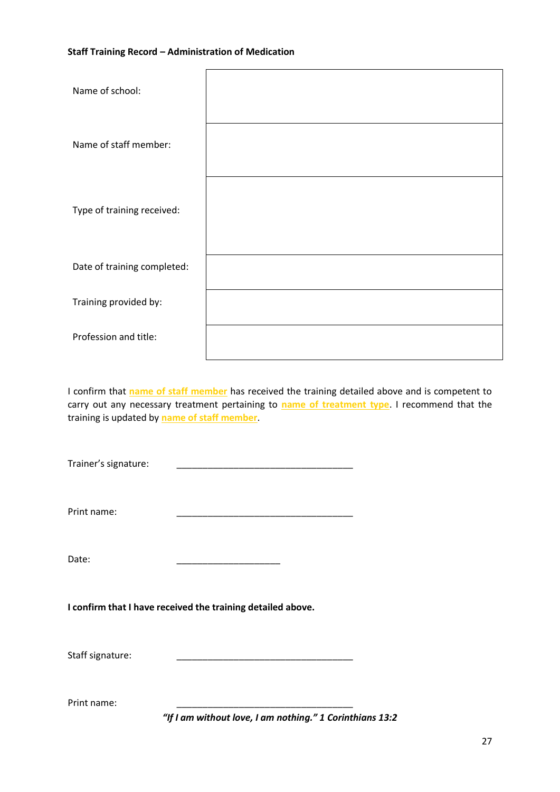#### <span id="page-26-0"></span>**Staff Training Record – Administration of Medication**

| Name of school:             |  |
|-----------------------------|--|
| Name of staff member:       |  |
| Type of training received:  |  |
| Date of training completed: |  |
| Training provided by:       |  |
| Profession and title:       |  |
|                             |  |

I confirm that **name of staff member** has received the training detailed above and is competent to carry out any necessary treatment pertaining to **name of treatment type**. I recommend that the training is updated by **name of staff member**.

Trainer's signature:

Print name:

Date: \_\_\_\_\_\_\_\_\_\_\_\_\_\_\_\_\_\_\_\_

**I confirm that I have received the training detailed above.**

Staff signature:

Print name: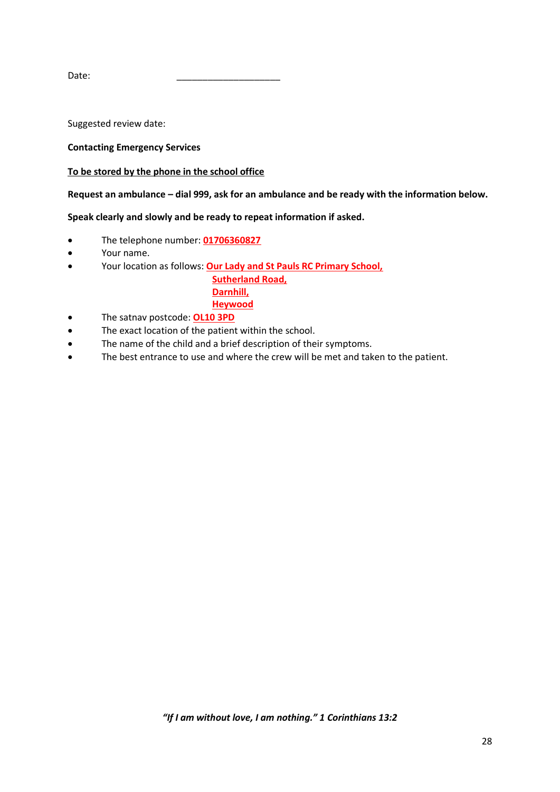Date: \_\_\_\_\_\_\_\_\_\_\_\_\_\_\_\_\_\_\_\_

Suggested review date:

#### <span id="page-27-0"></span>**Contacting Emergency Services**

#### **To be stored by the phone in the school office**

**Request an ambulance – dial 999, ask for an ambulance and be ready with the information below.**

**Speak clearly and slowly and be ready to repeat information if asked.**

- The telephone number: **01706360827**
- Your name.
- Your location as follows: **Our Lady and St Pauls RC Primary School,**

 **Sutherland Road, Darnhill, Heywood**

- The satnav postcode: **OL10 3PD**
- The exact location of the patient within the school.
- The name of the child and a brief description of their symptoms.
- The best entrance to use and where the crew will be met and taken to the patient.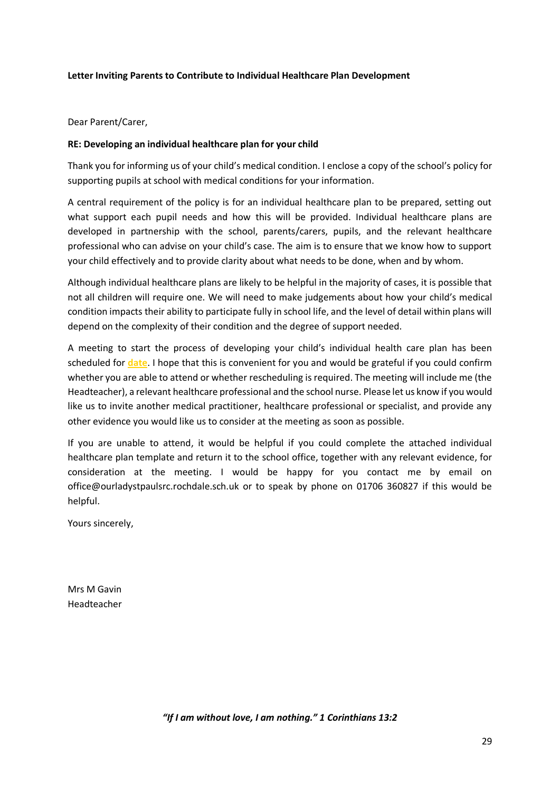#### <span id="page-28-0"></span>**Letter Inviting Parents to Contribute to Individual Healthcare Plan Development**

Dear Parent/Carer,

#### **RE: Developing an individual healthcare plan for your child**

Thank you for informing us of your child's medical condition. I enclose a copy of the school's policy for supporting pupils at school with medical conditions for your information.

A central requirement of the policy is for an individual healthcare plan to be prepared, setting out what support each pupil needs and how this will be provided. Individual healthcare plans are developed in partnership with the school, parents/carers, pupils, and the relevant healthcare professional who can advise on your child's case. The aim is to ensure that we know how to support your child effectively and to provide clarity about what needs to be done, when and by whom.

Although individual healthcare plans are likely to be helpful in the majority of cases, it is possible that not all children will require one. We will need to make judgements about how your child's medical condition impacts their ability to participate fully in school life, and the level of detail within plans will depend on the complexity of their condition and the degree of support needed.

A meeting to start the process of developing your child's individual health care plan has been scheduled for **date**. I hope that this is convenient for you and would be grateful if you could confirm whether you are able to attend or whether rescheduling is required. The meeting will include me (the Headteacher), a relevant healthcare professional and the school nurse. Please let us know if you would like us to invite another medical practitioner, healthcare professional or specialist, and provide any other evidence you would like us to consider at the meeting as soon as possible.

If you are unable to attend, it would be helpful if you could complete the attached individual healthcare plan template and return it to the school office, together with any relevant evidence, for consideration at the meeting. I would be happy for you contact me by email on office@ourladystpaulsrc.rochdale.sch.uk or to speak by phone on 01706 360827 if this would be helpful.

Yours sincerely,

Mrs M Gavin Headteacher